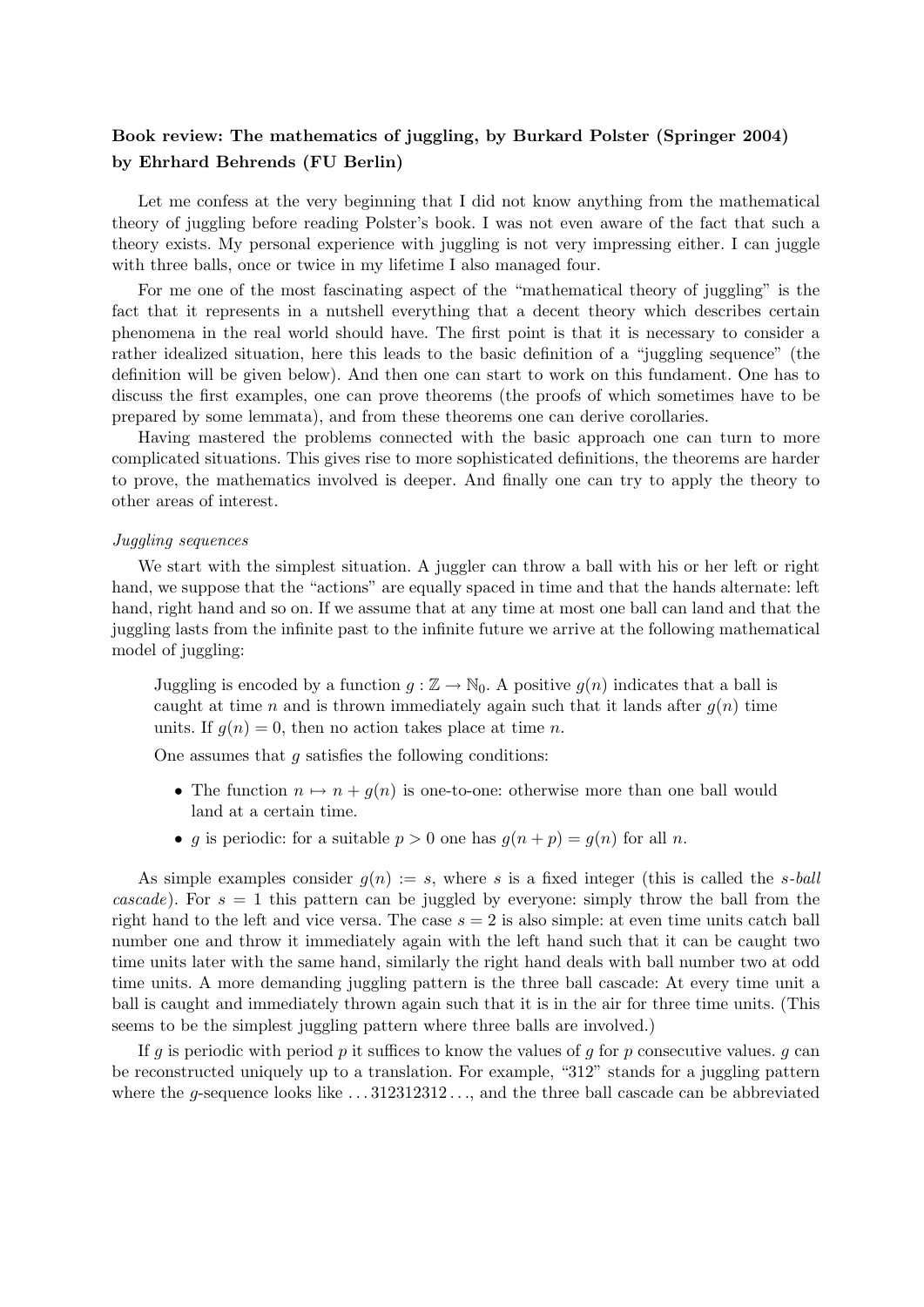## Book review: The mathematics of juggling, by Burkard Polster (Springer 2004) by Ehrhard Behrends (FU Berlin)

Let me confess at the very beginning that I did not know anything from the mathematical theory of juggling before reading Polster's book. I was not even aware of the fact that such a theory exists. My personal experience with juggling is not very impressing either. I can juggle with three balls, once or twice in my lifetime I also managed four.

For me one of the most fascinating aspect of the "mathematical theory of juggling" is the fact that it represents in a nutshell everything that a decent theory which describes certain phenomena in the real world should have. The first point is that it is necessary to consider a rather idealized situation, here this leads to the basic definition of a "juggling sequence" (the definition will be given below). And then one can start to work on this fundament. One has to discuss the first examples, one can prove theorems (the proofs of which sometimes have to be prepared by some lemmata), and from these theorems one can derive corollaries.

Having mastered the problems connected with the basic approach one can turn to more complicated situations. This gives rise to more sophisticated definitions, the theorems are harder to prove, the mathematics involved is deeper. And finally one can try to apply the theory to other areas of interest.

## Juggling sequences

We start with the simplest situation. A juggler can throw a ball with his or her left or right hand, we suppose that the "actions" are equally spaced in time and that the hands alternate: left hand, right hand and so on. If we assume that at any time at most one ball can land and that the juggling lasts from the infinite past to the infinite future we arrive at the following mathematical model of juggling:

Juggling is encoded by a function  $g : \mathbb{Z} \to \mathbb{N}_0$ . A positive  $g(n)$  indicates that a ball is caught at time n and is thrown immediately again such that it lands after  $g(n)$  time units. If  $g(n) = 0$ , then no action takes place at time n.

One assumes that  $g$  satisfies the following conditions:

- The function  $n \mapsto n + q(n)$  is one-to-one: otherwise more than one ball would land at a certain time.
- g is periodic: for a suitable  $p > 0$  one has  $g(n+p) = g(n)$  for all n.

As simple examples consider  $g(n) := s$ , where s is a fixed integer (this is called the s-ball cascade). For  $s = 1$  this pattern can be juggled by everyone: simply throw the ball from the right hand to the left and vice versa. The case  $s = 2$  is also simple: at even time units catch ball number one and throw it immediately again with the left hand such that it can be caught two time units later with the same hand, similarly the right hand deals with ball number two at odd time units. A more demanding juggling pattern is the three ball cascade: At every time unit a ball is caught and immediately thrown again such that it is in the air for three time units. (This seems to be the simplest juggling pattern where three balls are involved.)

If g is periodic with period p it suffices to know the values of g for p consecutive values. g can be reconstructed uniquely up to a translation. For example, "312" stands for a juggling pattern where the g-sequence looks like  $\dots$  312312312 $\dots$ , and the three ball cascade can be abbreviated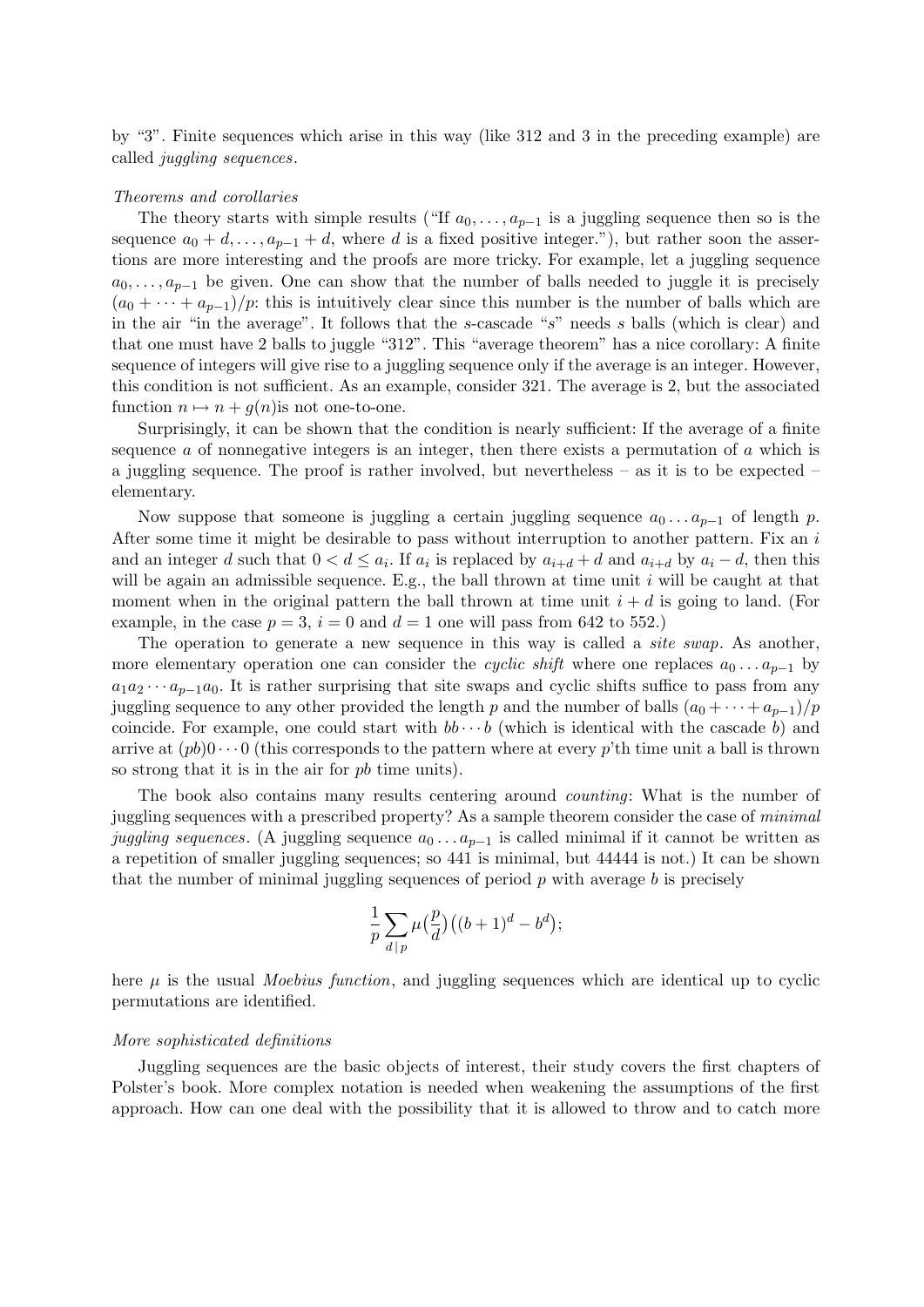by "3". Finite sequences which arise in this way (like 312 and 3 in the preceding example) are called juggling sequences.

## Theorems and corollaries

The theory starts with simple results ("If  $a_0, \ldots, a_{p-1}$  is a juggling sequence then so is the sequence  $a_0 + d, \ldots, a_{p-1} + d$ , where d is a fixed positive integer."), but rather soon the assertions are more interesting and the proofs are more tricky. For example, let a juggling sequence  $a_0, \ldots, a_{p-1}$  be given. One can show that the number of balls needed to juggle it is precisely  $(a_0 + \cdots + a_{p-1})/p$ : this is intuitively clear since this number is the number of balls which are in the air "in the average". It follows that the s-cascade "s" needs s balls (which is clear) and that one must have 2 balls to juggle "312". This "average theorem" has a nice corollary: A finite sequence of integers will give rise to a juggling sequence only if the average is an integer. However, this condition is not sufficient. As an example, consider 321. The average is 2, but the associated function  $n \mapsto n + q(n)$  is not one-to-one.

Surprisingly, it can be shown that the condition is nearly sufficient: If the average of a finite sequence  $\alpha$  of nonnegative integers is an integer, then there exists a permutation of  $\alpha$  which is a juggling sequence. The proof is rather involved, but nevertheless – as it is to be expected – elementary.

Now suppose that someone is juggling a certain juggling sequence  $a_0 \ldots a_{p-1}$  of length p. After some time it might be desirable to pass without interruption to another pattern. Fix an i and an integer d such that  $0 < d \le a_i$ . If  $a_i$  is replaced by  $a_{i+d} + d$  and  $a_{i+d}$  by  $a_i - d$ , then this will be again an admissible sequence. E.g., the ball thrown at time unit  $i$  will be caught at that moment when in the original pattern the ball thrown at time unit  $i + d$  is going to land. (For example, in the case  $p = 3$ ,  $i = 0$  and  $d = 1$  one will pass from 642 to 552.)

The operation to generate a new sequence in this way is called a *site swap*. As another, more elementary operation one can consider the *cyclic shift* where one replaces  $a_0 \ldots a_{p-1}$  by  $a_1a_2 \cdots a_{p-1}a_0$ . It is rather surprising that site swaps and cyclic shifts suffice to pass from any juggling sequence to any other provided the length p and the number of balls  $(a_0 + \cdots + a_{p-1})/p$ coincide. For example, one could start with  $bb \cdots b$  (which is identical with the cascade b) and arrive at  $(pb)0 \cdots 0$  (this corresponds to the pattern where at every p'th time unit a ball is thrown so strong that it is in the air for pb time units).

The book also contains many results centering around counting: What is the number of juggling sequences with a prescribed property? As a sample theorem consider the case of *minimal* juggling sequences. (A juggling sequence  $a_0 \ldots a_{p-1}$  is called minimal if it cannot be written as a repetition of smaller juggling sequences; so 441 is minimal, but 44444 is not.) It can be shown that the number of minimal juggling sequences of period  $p$  with average  $b$  is precisely

$$
\frac{1}{p}\sum_{d\,|\,p}\mu\big(\frac{p}{d}\big)\big((b+1)^d-b^d\big);
$$

here  $\mu$  is the usual *Moebius function*, and juggling sequences which are identical up to cyclic permutations are identified.

## More sophisticated definitions

Juggling sequences are the basic objects of interest, their study covers the first chapters of Polster's book. More complex notation is needed when weakening the assumptions of the first approach. How can one deal with the possibility that it is allowed to throw and to catch more